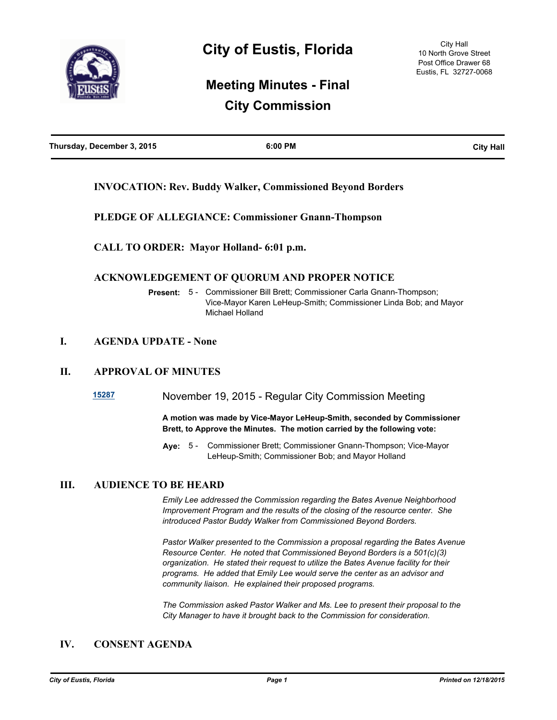

# **Meeting Minutes - Final City Commission**

| Thursday, December 3, 2015 | 6:00 PM | <b>City Hall</b> |
|----------------------------|---------|------------------|
|                            |         |                  |

# **INVOCATION: Rev. Buddy Walker, Commissioned Beyond Borders**

**PLEDGE OF ALLEGIANCE: Commissioner Gnann-Thompson**

**CALL TO ORDER: Mayor Holland- 6:01 p.m.**

## **ACKNOWLEDGEMENT OF QUORUM AND PROPER NOTICE**

**Present:** 5 - Commissioner Bill Brett; Commissioner Carla Gnann-Thompson; Vice-Mayor Karen LeHeup-Smith; Commissioner Linda Bob; and Mayor Michael Holland

## **I. AGENDA UPDATE - None**

## **II. APPROVAL OF MINUTES**

**[15287](http://eustis.legistar.com/gateway.aspx?m=l&id=3127)** November 19, 2015 - Regular City Commission Meeting

**A motion was made by Vice-Mayor LeHeup-Smith, seconded by Commissioner Brett, to Approve the Minutes. The motion carried by the following vote:**

Aye: 5 - Commissioner Brett; Commissioner Gnann-Thompson; Vice-Mayor LeHeup-Smith; Commissioner Bob; and Mayor Holland

#### **III. AUDIENCE TO BE HEARD**

*Emily Lee addressed the Commission regarding the Bates Avenue Neighborhood Improvement Program and the results of the closing of the resource center. She introduced Pastor Buddy Walker from Commissioned Beyond Borders.*

*Pastor Walker presented to the Commission a proposal regarding the Bates Avenue Resource Center. He noted that Commissioned Beyond Borders is a 501(c)(3) organization. He stated their request to utilize the Bates Avenue facility for their programs. He added that Emily Lee would serve the center as an advisor and community liaison. He explained their proposed programs.*

*The Commission asked Pastor Walker and Ms. Lee to present their proposal to the City Manager to have it brought back to the Commission for consideration.*

# **IV. CONSENT AGENDA**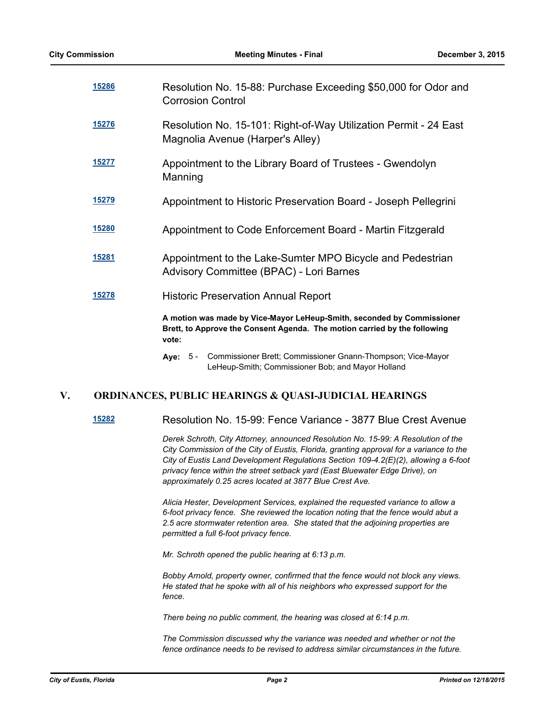| <u>15286</u> | Resolution No. 15-88: Purchase Exceeding \$50,000 for Odor and<br><b>Corrosion Control</b>                                                                   |
|--------------|--------------------------------------------------------------------------------------------------------------------------------------------------------------|
| 15276        | Resolution No. 15-101: Right-of-Way Utilization Permit - 24 East<br>Magnolia Avenue (Harper's Alley)                                                         |
| 15277        | Appointment to the Library Board of Trustees - Gwendolyn<br>Manning                                                                                          |
| <u>15279</u> | Appointment to Historic Preservation Board - Joseph Pellegrini                                                                                               |
| <u>15280</u> | Appointment to Code Enforcement Board - Martin Fitzgerald                                                                                                    |
| <u>15281</u> | Appointment to the Lake-Sumter MPO Bicycle and Pedestrian<br>Advisory Committee (BPAC) - Lori Barnes                                                         |
| 15278        | <b>Historic Preservation Annual Report</b>                                                                                                                   |
|              | A motion was made by Vice-Mayor LeHeup-Smith, seconded by Commissioner<br>Brett, to Approve the Consent Agenda. The motion carried by the following<br>vote: |
|              | Ave: 5 - Commissioner Brett: Commissioner Gnann-Thompson: Vice-Mavor                                                                                         |

# **V. ORDINANCES, PUBLIC HEARINGS & QUASI-JUDICIAL HEARINGS**

**[15282](http://eustis.legistar.com/gateway.aspx?m=l&id=3122)** Resolution No. 15-99: Fence Variance - 3877 Blue Crest Avenue

*Derek Schroth, City Attorney, announced Resolution No. 15-99: A Resolution of the City Commission of the City of Eustis, Florida, granting approval for a variance to the City of Eustis Land Development Regulations Section 109-4.2(E)(2), allowing a 6-foot privacy fence within the street setback yard (East Bluewater Edge Drive), on approximately 0.25 acres located at 3877 Blue Crest Ave.*

*Alicia Hester, Development Services, explained the requested variance to allow a 6-foot privacy fence. She reviewed the location noting that the fence would abut a 2.5 acre stormwater retention area. She stated that the adjoining properties are permitted a full 6-foot privacy fence.*

*Mr. Schroth opened the public hearing at 6:13 p.m.* 

*Bobby Arnold, property owner, confirmed that the fence would not block any views. He stated that he spoke with all of his neighbors who expressed support for the fence.*

*There being no public comment, the hearing was closed at 6:14 p.m.*

*The Commission discussed why the variance was needed and whether or not the fence ordinance needs to be revised to address similar circumstances in the future.*

**Aye:** Commissioner Brett; Commissioner Gnann-Thompson; Vice-Mayor LeHeup-Smith; Commissioner Bob; and Mayor Holland Aye: 5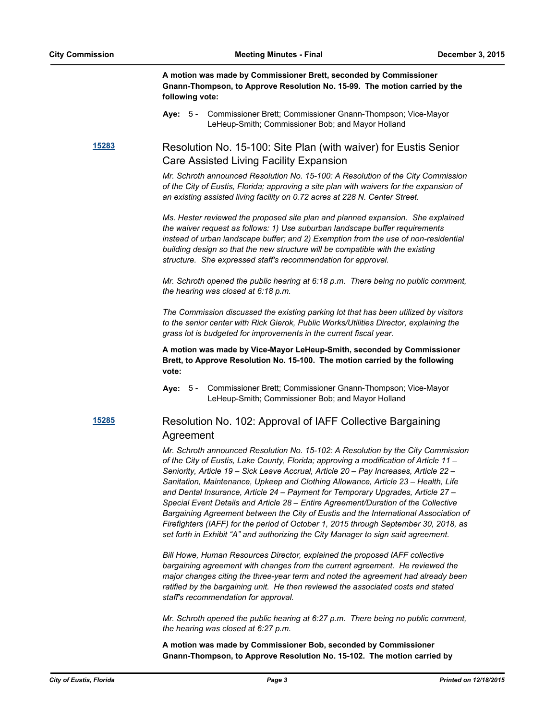**A motion was made by Commissioner Brett, seconded by Commissioner Gnann-Thompson, to Approve Resolution No. 15-99. The motion carried by the following vote:**

**Aye:** Commissioner Brett; Commissioner Gnann-Thompson; Vice-Mayor LeHeup-Smith; Commissioner Bob; and Mayor Holland Aye: 5 -

**[15283](http://eustis.legistar.com/gateway.aspx?m=l&id=3123)** Resolution No. 15-100: Site Plan (with waiver) for Eustis Senior Care Assisted Living Facility Expansion

> *Mr. Schroth announced Resolution No. 15-100: A Resolution of the City Commission of the City of Eustis, Florida; approving a site plan with waivers for the expansion of an existing assisted living facility on 0.72 acres at 228 N. Center Street.*

> *Ms. Hester reviewed the proposed site plan and planned expansion. She explained the waiver request as follows: 1) Use suburban landscape buffer requirements instead of urban landscape buffer; and 2) Exemption from the use of non-residential building design so that the new structure will be compatible with the existing structure. She expressed staff's recommendation for approval.*

> *Mr. Schroth opened the public hearing at 6:18 p.m. There being no public comment, the hearing was closed at 6:18 p.m.*

*The Commission discussed the existing parking lot that has been utilized by visitors to the senior center with Rick Gierok, Public Works/Utilities Director, explaining the grass lot is budgeted for improvements in the current fiscal year.*

**A motion was made by Vice-Mayor LeHeup-Smith, seconded by Commissioner Brett, to Approve Resolution No. 15-100. The motion carried by the following vote:**

Aye: 5 - Commissioner Brett; Commissioner Gnann-Thompson; Vice-Mayor LeHeup-Smith; Commissioner Bob; and Mayor Holland

# **[15285](http://eustis.legistar.com/gateway.aspx?m=l&id=3125)** Resolution No. 102: Approval of IAFF Collective Bargaining Agreement

*Mr. Schroth announced Resolution No. 15-102: A Resolution by the City Commission of the City of Eustis, Lake County, Florida; approving a modification of Article 11 – Seniority, Article 19 – Sick Leave Accrual, Article 20 – Pay Increases, Article 22 – Sanitation, Maintenance, Upkeep and Clothing Allowance, Article 23 – Health, Life and Dental Insurance, Article 24 – Payment for Temporary Upgrades, Article 27 – Special Event Details and Article 28 – Entire Agreement/Duration of the Collective Bargaining Agreement between the City of Eustis and the International Association of Firefighters (IAFF) for the period of October 1, 2015 through September 30, 2018, as set forth in Exhibit "A" and authorizing the City Manager to sign said agreement.*

*Bill Howe, Human Resources Director, explained the proposed IAFF collective bargaining agreement with changes from the current agreement. He reviewed the major changes citing the three-year term and noted the agreement had already been ratified by the bargaining unit. He then reviewed the associated costs and stated staff's recommendation for approval.*

*Mr. Schroth opened the public hearing at 6:27 p.m. There being no public comment, the hearing was closed at 6:27 p.m.*

**A motion was made by Commissioner Bob, seconded by Commissioner Gnann-Thompson, to Approve Resolution No. 15-102. The motion carried by**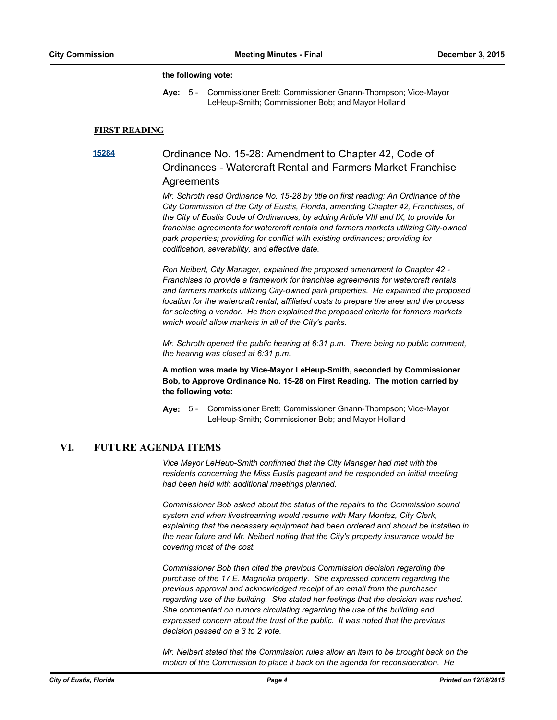#### **the following vote:**

Aye: 5 - Commissioner Brett; Commissioner Gnann-Thompson; Vice-Mayor LeHeup-Smith; Commissioner Bob; and Mayor Holland

#### **FIRST READING**

# **[15284](http://eustis.legistar.com/gateway.aspx?m=l&id=3124)** Ordinance No. 15-28: Amendment to Chapter 42, Code of Ordinances - Watercraft Rental and Farmers Market Franchise **Agreements**

*Mr. Schroth read Ordinance No. 15-28 by title on first reading: An Ordinance of the City Commission of the City of Eustis, Florida, amending Chapter 42, Franchises, of the City of Eustis Code of Ordinances, by adding Article VIII and IX, to provide for franchise agreements for watercraft rentals and farmers markets utilizing City-owned park properties; providing for conflict with existing ordinances; providing for codification, severability, and effective date.*

*Ron Neibert, City Manager, explained the proposed amendment to Chapter 42 - Franchises to provide a framework for franchise agreements for watercraft rentals and farmers markets utilizing City-owned park properties. He explained the proposed location for the watercraft rental, affiliated costs to prepare the area and the process for selecting a vendor. He then explained the proposed criteria for farmers markets which would allow markets in all of the City's parks.*

*Mr. Schroth opened the public hearing at 6:31 p.m. There being no public comment, the hearing was closed at 6:31 p.m.*

**A motion was made by Vice-Mayor LeHeup-Smith, seconded by Commissioner Bob, to Approve Ordinance No. 15-28 on First Reading. The motion carried by the following vote:**

Aye: 5 - Commissioner Brett; Commissioner Gnann-Thompson; Vice-Mayor LeHeup-Smith; Commissioner Bob; and Mayor Holland

#### **VI. FUTURE AGENDA ITEMS**

*Vice Mayor LeHeup-Smith confirmed that the City Manager had met with the residents concerning the Miss Eustis pageant and he responded an initial meeting had been held with additional meetings planned.*

*Commissioner Bob asked about the status of the repairs to the Commission sound system and when livestreaming would resume with Mary Montez, City Clerk, explaining that the necessary equipment had been ordered and should be installed in the near future and Mr. Neibert noting that the City's property insurance would be covering most of the cost.*

*Commissioner Bob then cited the previous Commission decision regarding the purchase of the 17 E. Magnolia property. She expressed concern regarding the previous approval and acknowledged receipt of an email from the purchaser regarding use of the building. She stated her feelings that the decision was rushed. She commented on rumors circulating regarding the use of the building and expressed concern about the trust of the public. It was noted that the previous decision passed on a 3 to 2 vote.*

*Mr. Neibert stated that the Commission rules allow an item to be brought back on the motion of the Commission to place it back on the agenda for reconsideration. He*